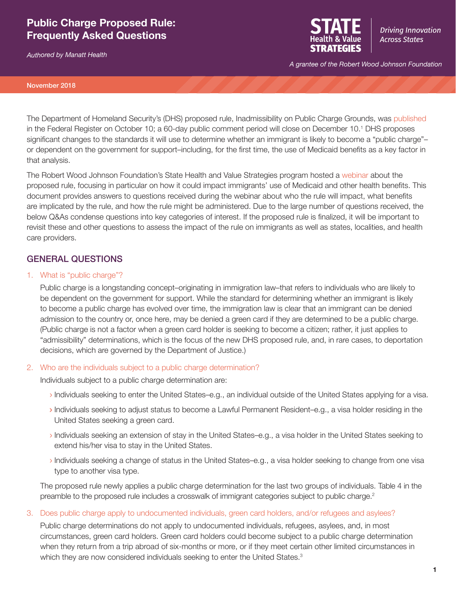# **Public Charge Proposed Rule: Frequently Asked Questions**

*Authored by Manatt Health*



**Driving Innovation Across States** 

*A grantee of the Robert Wood Johnson Foundation*

#### November 2018

The Department of Homeland Security's (DHS) proposed rule, Inadmissibility on Public Charge Grounds, was [published](https://www.gpo.gov/fdsys/pkg/FR-2018-10-10/pdf/2018-21106.pdf)  in the Federal Register on October 10; a 60-day public comment period will close on December 10.1 DHS proposes significant changes to the standards it will use to determine whether an immigrant is likely to become a "public charge"– or dependent on the government for support–including, for the first time, the use of Medicaid benefits as a key factor in that analysis.

The Robert Wood Johnson Foundation's State Health and Value Strategies program hosted a [webinar](https://www.shvs.org/resource/public-charge-and-implications-for-medicaid-enrollment/) about the proposed rule, focusing in particular on how it could impact immigrants' use of Medicaid and other health benefits. This document provides answers to questions received during the webinar about who the rule will impact, what benefits are implicated by the rule, and how the rule might be administered. Due to the large number of questions received, the below Q&As condense questions into key categories of interest. If the proposed rule is finalized, it will be important to revisit these and other questions to assess the impact of the rule on immigrants as well as states, localities, and health care providers.

# GENERAL QUESTIONS

### 1. What is "public charge"?

Public charge is a longstanding concept–originating in immigration law–that refers to individuals who are likely to be dependent on the government for support. While the standard for determining whether an immigrant is likely to become a public charge has evolved over time, the immigration law is clear that an immigrant can be denied admission to the country or, once here, may be denied a green card if they are determined to be a public charge. (Public charge is not a factor when a green card holder is seeking to become a citizen; rather, it just applies to "admissibility" determinations, which is the focus of the new DHS proposed rule, and, in rare cases, to deportation decisions, which are governed by the Department of Justice.)

### 2. Who are the individuals subject to a public charge determination?

Individuals subject to a public charge determination are:

- › Individuals seeking to enter the United States–e.g., an individual outside of the United States applying for a visa.
- › Individuals seeking to adjust status to become a Lawful Permanent Resident–e.g., a visa holder residing in the United States seeking a green card.
- › Individuals seeking an extension of stay in the United States–e.g., a visa holder in the United States seeking to extend his/her visa to stay in the United States.
- › Individuals seeking a change of status in the United States–e.g., a visa holder seeking to change from one visa type to another visa type.

The proposed rule newly applies a public charge determination for the last two groups of individuals. Table 4 in the preamble to the proposed rule includes a crosswalk of immigrant categories subject to public charge.<sup>2</sup>

3. Does public charge apply to undocumented individuals, green card holders, and/or refugees and asylees?

Public charge determinations do not apply to undocumented individuals, refugees, asylees, and, in most circumstances, green card holders. Green card holders could become subject to a public charge determination when they return from a trip abroad of six-months or more, or if they meet certain other limited circumstances in which they are now considered individuals seeking to enter the United States.<sup>3</sup>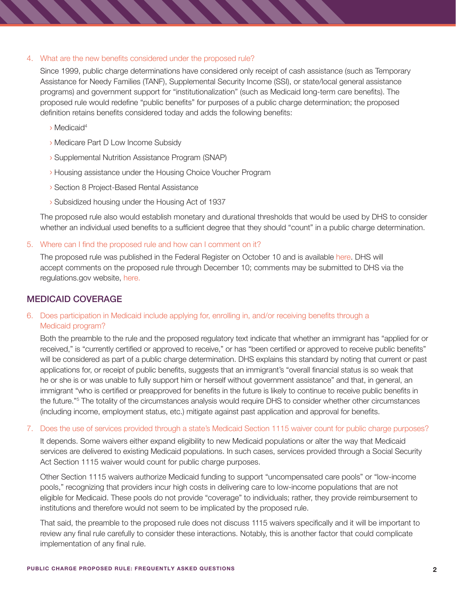### 4. What are the new benefits considered under the proposed rule?

Since 1999, public charge determinations have considered only receipt of cash assistance (such as Temporary Assistance for Needy Families (TANF), Supplemental Security Income (SSI), or state/local general assistance programs) and government support for "institutionalization" (such as Medicaid long-term care benefits). The proposed rule would redefine "public benefits" for purposes of a public charge determination; the proposed definition retains benefits considered today and adds the following benefits:

- › Medicaid<sup>4</sup>
- › Medicare Part D Low Income Subsidy
- › Supplemental Nutrition Assistance Program (SNAP)
- › Housing assistance under the Housing Choice Voucher Program
- › Section 8 Project-Based Rental Assistance
- › Subsidized housing under the Housing Act of 1937

The proposed rule also would establish monetary and durational thresholds that would be used by DHS to consider whether an individual used benefits to a sufficient degree that they should "count" in a public charge determination.

5. Where can I find the proposed rule and how can I comment on it?

The proposed rule was published in the Federal Register on October 10 and is available [here](https://www.gpo.gov/fdsys/pkg/FR-2018-10-10/pdf/2018-21106.pdf). DHS will accept comments on the proposed rule through December 10; comments may be submitted to DHS via the regulations.gov website, [here.](https://www.regulations.gov/docket?D=USCIS-2010-0012)

## MEDICAID COVERAGE

## 6. Does participation in Medicaid include applying for, enrolling in, and/or receiving benefits through a Medicaid program?

Both the preamble to the rule and the proposed regulatory text indicate that whether an immigrant has "applied for or received," is "currently certified or approved to receive," or has "been certified or approved to receive public benefits" will be considered as part of a public charge determination. DHS explains this standard by noting that current or past applications for, or receipt of public benefits, suggests that an immigrant's "overall financial status is so weak that he or she is or was unable to fully support him or herself without government assistance" and that, in general, an immigrant "who is certified or preapproved for benefits in the future is likely to continue to receive public benefits in the future."<sup>5</sup> The totality of the circumstances analysis would require DHS to consider whether other circumstances (including income, employment status, etc.) mitigate against past application and approval for benefits.

7. Does the use of services provided through a state's Medicaid Section 1115 waiver count for public charge purposes?

It depends. Some waivers either expand eligibility to new Medicaid populations or alter the way that Medicaid services are delivered to existing Medicaid populations. In such cases, services provided through a Social Security Act Section 1115 waiver would count for public charge purposes.

Other Section 1115 waivers authorize Medicaid funding to support "uncompensated care pools" or "low-income pools," recognizing that providers incur high costs in delivering care to low-income populations that are not eligible for Medicaid. These pools do not provide "coverage" to individuals; rather, they provide reimbursement to institutions and therefore would not seem to be implicated by the proposed rule.

That said, the preamble to the proposed rule does not discuss 1115 waivers specifically and it will be important to review any final rule carefully to consider these interactions. Notably, this is another factor that could complicate implementation of any final rule.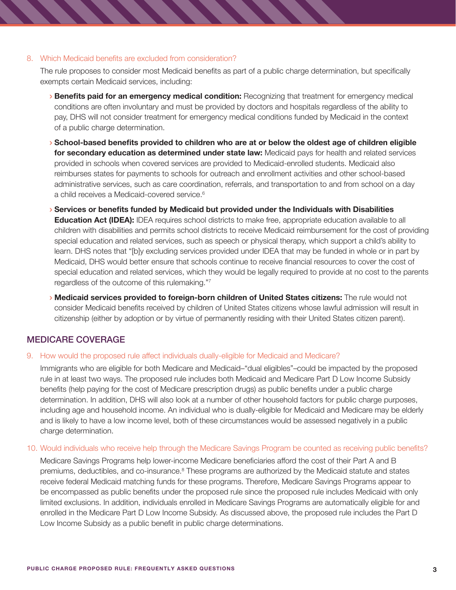### 8. Which Medicaid benefits are excluded from consideration?

The rule proposes to consider most Medicaid benefits as part of a public charge determination, but specifically exempts certain Medicaid services, including:

- › **Benefits paid for an emergency medical condition:** Recognizing that treatment for emergency medical conditions are often involuntary and must be provided by doctors and hospitals regardless of the ability to pay, DHS will not consider treatment for emergency medical conditions funded by Medicaid in the context of a public charge determination.
- › **School-based benefits provided to children who are at or below the oldest age of children eligible for secondary education as determined under state law:** Medicaid pays for health and related services provided in schools when covered services are provided to Medicaid-enrolled students. Medicaid also reimburses states for payments to schools for outreach and enrollment activities and other school-based administrative services, such as care coordination, referrals, and transportation to and from school on a day a child receives a Medicaid-covered service.<sup>6</sup>
- › **Services or benefits funded by Medicaid but provided under the Individuals with Disabilities Education Act (IDEA):** IDEA requires school districts to make free, appropriate education available to all children with disabilities and permits school districts to receive Medicaid reimbursement for the cost of providing special education and related services, such as speech or physical therapy, which support a child's ability to learn. DHS notes that "[b]y excluding services provided under IDEA that may be funded in whole or in part by Medicaid, DHS would better ensure that schools continue to receive financial resources to cover the cost of special education and related services, which they would be legally required to provide at no cost to the parents regardless of the outcome of this rulemaking."7
- › **Medicaid services provided to foreign-born children of United States citizens:** The rule would not consider Medicaid benefits received by children of United States citizens whose lawful admission will result in citizenship (either by adoption or by virtue of permanently residing with their United States citizen parent).

# MEDICARE COVERAGE

### 9. How would the proposed rule affect individuals dually-eligible for Medicaid and Medicare?

Immigrants who are eligible for both Medicare and Medicaid–"dual eligibles"–could be impacted by the proposed rule in at least two ways. The proposed rule includes both Medicaid and Medicare Part D Low Income Subsidy benefits (help paying for the cost of Medicare prescription drugs) as public benefits under a public charge determination. In addition, DHS will also look at a number of other household factors for public charge purposes, including age and household income. An individual who is dually-eligible for Medicaid and Medicare may be elderly and is likely to have a low income level, both of these circumstances would be assessed negatively in a public charge determination.

### 10. Would individuals who receive help through the Medicare Savings Program be counted as receiving public benefits?

Medicare Savings Programs help lower-income Medicare beneficiaries afford the cost of their Part A and B premiums, deductibles, and co-insurance.<sup>8</sup> These programs are authorized by the Medicaid statute and states receive federal Medicaid matching funds for these programs. Therefore, Medicare Savings Programs appear to be encompassed as public benefits under the proposed rule since the proposed rule includes Medicaid with only limited exclusions. In addition, individuals enrolled in Medicare Savings Programs are automatically eligible for and enrolled in the Medicare Part D Low Income Subsidy. As discussed above, the proposed rule includes the Part D Low Income Subsidy as a public benefit in public charge determinations.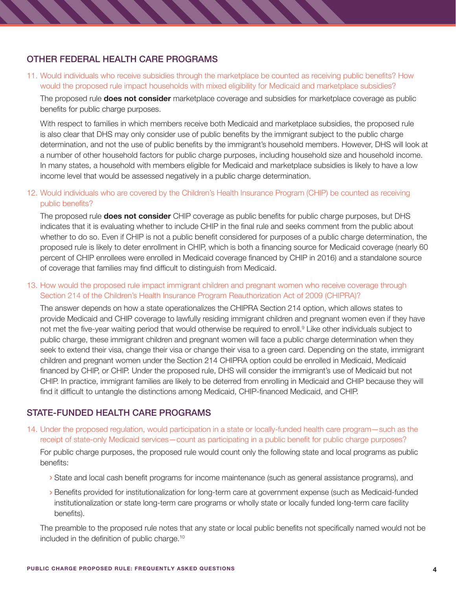# OTHER FEDERAL HEALTH CARE PROGRAMS

11. Would individuals who receive subsidies through the marketplace be counted as receiving public benefits? How would the proposed rule impact households with mixed eligibility for Medicaid and marketplace subsidies?

The proposed rule **does not consider** marketplace coverage and subsidies for marketplace coverage as public benefits for public charge purposes.

With respect to families in which members receive both Medicaid and marketplace subsidies, the proposed rule is also clear that DHS may only consider use of public benefits by the immigrant subject to the public charge determination, and not the use of public benefits by the immigrant's household members. However, DHS will look at a number of other household factors for public charge purposes, including household size and household income. In many states, a household with members eligible for Medicaid and marketplace subsidies is likely to have a low income level that would be assessed negatively in a public charge determination.

12. Would individuals who are covered by the Children's Health Insurance Program (CHIP) be counted as receiving public benefits?

The proposed rule **does not consider** CHIP coverage as public benefits for public charge purposes, but DHS indicates that it is evaluating whether to include CHIP in the final rule and seeks comment from the public about whether to do so. Even if CHIP is not a public benefit considered for purposes of a public charge determination, the proposed rule is likely to deter enrollment in CHIP, which is both a financing source for Medicaid coverage (nearly 60 percent of CHIP enrollees were enrolled in Medicaid coverage financed by CHIP in 2016) and a standalone source of coverage that families may find difficult to distinguish from Medicaid.

13. How would the proposed rule impact immigrant children and pregnant women who receive coverage through Section 214 of the Children's Health Insurance Program Reauthorization Act of 2009 (CHIPRA)?

The answer depends on how a state operationalizes the CHIPRA Section 214 option, which allows states to provide Medicaid and CHIP coverage to lawfully residing immigrant children and pregnant women even if they have not met the five-year waiting period that would otherwise be required to enroll.<sup>9</sup> Like other individuals subject to public charge, these immigrant children and pregnant women will face a public charge determination when they seek to extend their visa, change their visa or change their visa to a green card. Depending on the state, immigrant children and pregnant women under the Section 214 CHIPRA option could be enrolled in Medicaid, Medicaid financed by CHIP, or CHIP. Under the proposed rule, DHS will consider the immigrant's use of Medicaid but not CHIP. In practice, immigrant families are likely to be deterred from enrolling in Medicaid and CHIP because they will find it difficult to untangle the distinctions among Medicaid, CHIP-financed Medicaid, and CHIP.

# STATE-FUNDED HEALTH CARE PROGRAMS

14. Under the proposed regulation, would participation in a state or locally-funded health care program—such as the receipt of state-only Medicaid services—count as participating in a public benefit for public charge purposes?

For public charge purposes, the proposed rule would count only the following state and local programs as public benefits:

- › State and local cash benefit programs for income maintenance (such as general assistance programs), and
- › Benefits provided for institutionalization for long-term care at government expense (such as Medicaid-funded institutionalization or state long-term care programs or wholly state or locally funded long-term care facility benefits).

The preamble to the proposed rule notes that any state or local public benefits not specifically named would not be included in the definition of public charge.10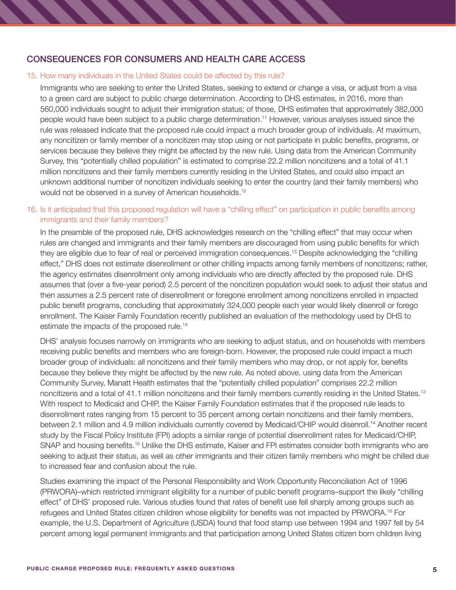# CONSEQUENCES FOR CONSUMERS AND HEALTH CARE ACCESS

### 15. How many individuals in the United States could be affected by this rule?

Immigrants who are seeking to enter the United States, seeking to extend or change a visa, or adjust from a visa to a green card are subject to public charge determination. According to DHS estimates, in 2016, more than 560,000 individuals sought to adjust their immigration status; of those, DHS estimates that approximately 382,000 people would have been subject to a public charge determination.11 However, various analyses issued since the rule was released indicate that the proposed rule could impact a much broader group of individuals. At maximum, any noncitizen or family member of a noncitizen may stop using or not participate in public benefits, programs, or services because they believe they might be affected by the new rule. Using data from the American Community Survey, this "potentially chilled population" is estimated to comprise 22.2 million noncitizens and a total of 41.1 million noncitizens and their family members currently residing in the United States, and could also impact an unknown additional number of noncitizen individuals seeking to enter the country (and their family members) who would not be observed in a survey of American households.<sup>12</sup>

### 16. Is it anticipated that this proposed regulation will have a "chilling effect" on participation in public benefits among immigrants and their family members?

In the preamble of the proposed rule, DHS acknowledges research on the "chilling effect" that may occur when rules are changed and immigrants and their family members are discouraged from using public benefits for which they are eligible due to fear of real or perceived immigration consequences.13 Despite acknowledging the "chilling effect," DHS does not estimate disenrollment or other chilling impacts among family members of noncitizens; rather, the agency estimates disenrollment only among individuals who are directly affected by the proposed rule. DHS assumes that (over a five-year period) 2.5 percent of the noncitizen population would seek to adjust their status and then assumes a 2.5 percent rate of disenrollment or foregone enrollment among noncitizens enrolled in impacted public benefit programs, concluding that approximately 324,000 people each year would likely disenroll or forego enrollment. The Kaiser Family Foundation recently published an evaluation of the methodology used by DHS to estimate the impacts of the proposed rule.<sup>14</sup>

DHS' analysis focuses narrowly on immigrants who are seeking to adjust status, and on households with members receiving public benefits and members who are foreign-born. However, the proposed rule could impact a much broader group of individuals: all noncitizens and their family members who may drop, or not apply for, benefits because they believe they might be affected by the new rule. As noted above, using data from the American Community Survey, Manatt Health estimates that the "potentially chilled population" comprises 22.2 million noncitizens and a total of 41.1 million noncitizens and their family members currently residing in the United States.<sup>12</sup> With respect to Medicaid and CHIP, the Kaiser Family Foundation estimates that if the proposed rule leads to disenrollment rates ranging from 15 percent to 35 percent among certain noncitizens and their family members, between 2.1 million and 4.9 million individuals currently covered by Medicaid/CHIP would disenroll.14 Another recent study by the Fiscal Policy Institute (FPI) adopts a similar range of potential disenrollment rates for Medicaid/CHIP, SNAP and housing benefits.<sup>15</sup> Unlike the DHS estimate, Kaiser and FPI estimates consider both immigrants who are seeking to adjust their status, as well as other immigrants and their citizen family members who might be chilled due to increased fear and confusion about the rule.

Studies examining the impact of the Personal Responsibility and Work Opportunity Reconciliation Act of 1996 (PRWORA)–which restricted immigrant eligibility for a number of public benefit programs–support the likely "chilling effect" of DHS' proposed rule. Various studies found that rates of benefit use fell sharply among groups such as refugees and United States citizen children whose eligibility for benefits was not impacted by PRWORA.<sup>16</sup> For example, the U.S. Department of Agriculture (USDA) found that food stamp use between 1994 and 1997 fell by 54 percent among legal permanent immigrants and that participation among United States citizen born children living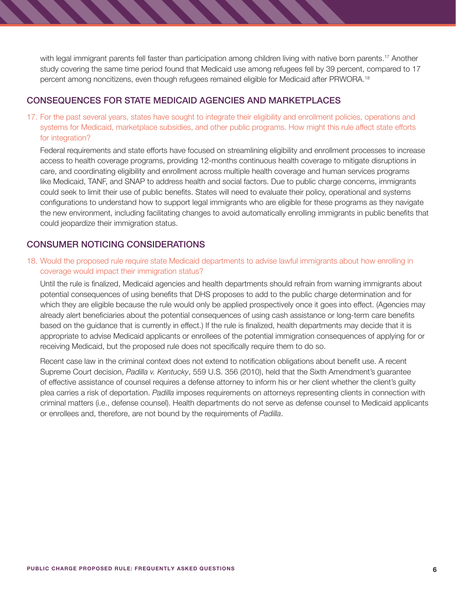with legal immigrant parents fell faster than participation among children living with native born parents.<sup>17</sup> Another study covering the same time period found that Medicaid use among refugees fell by 39 percent, compared to 17 percent among noncitizens, even though refugees remained eligible for Medicaid after PRWORA.<sup>18</sup>

### CONSEQUENCES FOR STATE MEDICAID AGENCIES AND MARKETPLACES

17. For the past several years, states have sought to integrate their eligibility and enrollment policies, operations and systems for Medicaid, marketplace subsidies, and other public programs. How might this rule affect state efforts for integration?

Federal requirements and state efforts have focused on streamlining eligibility and enrollment processes to increase access to health coverage programs, providing 12-months continuous health coverage to mitigate disruptions in care, and coordinating eligibility and enrollment across multiple health coverage and human services programs like Medicaid, TANF, and SNAP to address health and social factors. Due to public charge concerns, immigrants could seek to limit their use of public benefits. States will need to evaluate their policy, operational and systems configurations to understand how to support legal immigrants who are eligible for these programs as they navigate the new environment, including facilitating changes to avoid automatically enrolling immigrants in public benefits that could jeopardize their immigration status.

## CONSUMER NOTICING CONSIDERATIONS

18. Would the proposed rule require state Medicaid departments to advise lawful immigrants about how enrolling in coverage would impact their immigration status?

Until the rule is finalized, Medicaid agencies and health departments should refrain from warning immigrants about potential consequences of using benefits that DHS proposes to add to the public charge determination and for which they are eligible because the rule would only be applied prospectively once it goes into effect. (Agencies may already alert beneficiaries about the potential consequences of using cash assistance or long-term care benefits based on the guidance that is currently in effect.) If the rule is finalized, health departments may decide that it is appropriate to advise Medicaid applicants or enrollees of the potential immigration consequences of applying for or receiving Medicaid, but the proposed rule does not specifically require them to do so.

Recent case law in the criminal context does not extend to notification obligations about benefit use. A recent Supreme Court decision, *Padilla v. Kentucky*, 559 U.S. 356 (2010), held that the Sixth Amendment's guarantee of effective assistance of counsel requires a defense attorney to inform his or her client whether the client's guilty plea carries a risk of deportation. *Padilla* imposes requirements on attorneys representing clients in connection with criminal matters (i.e., defense counsel). Health departments do not serve as defense counsel to Medicaid applicants or enrollees and, therefore, are not bound by the requirements of *Padilla*.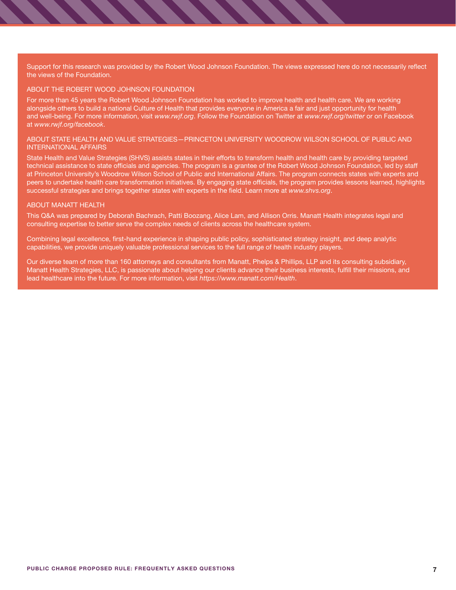Support for this research was provided by the Robert Wood Johnson Foundation. The views expressed here do not necessarily reflect the views of the Foundation.

#### ABOUT THE ROBERT WOOD JOHNSON FOUNDATION

For more than 45 years the Robert Wood Johnson Foundation has worked to improve health and health care. We are working alongside others to build a national Culture of Health that provides everyone in America a fair and just opportunity for health and well-being. For more information, visit *[www.rwjf.org](http://www.rwjf.org)*. Follow the Foundation on Twitter at *[www.rwjf.org/twitter](http://www.rwjf.org/twitter)* or on Facebook at *[www.rwjf.org/facebook](http://www.rwjf.org/facebook)*.

#### ABOUT STATE HEALTH AND VALUE STRATEGIES—PRINCETON UNIVERSITY WOODROW WILSON SCHOOL OF PUBLIC AND INTERNATIONAL AFFAIRS

State Health and Value Strategies (SHVS) assists states in their efforts to transform health and health care by providing targeted technical assistance to state officials and agencies. The program is a grantee of the Robert Wood Johnson Foundation, led by staff at Princeton University's Woodrow Wilson School of Public and International Affairs. The program connects states with experts and peers to undertake health care transformation initiatives. By engaging state officials, the program provides lessons learned, highlights successful strategies and brings together states with experts in the field. Learn more at *[www.shvs.org](https://www.shvs.org/)*.

#### ABOUT MANATT HEALTH

This Q&A was prepared by Deborah Bachrach, Patti Boozang, Alice Lam, and Allison Orris. Manatt Health integrates legal and consulting expertise to better serve the complex needs of clients across the healthcare system.

Combining legal excellence, first‐hand experience in shaping public policy, sophisticated strategy insight, and deep analytic capabilities, we provide uniquely valuable professional services to the full range of health industry players.

Our diverse team of more than 160 attorneys and consultants from Manatt, Phelps & Phillips, LLP and its consulting subsidiary, Manatt Health Strategies, LLC, is passionate about helping our clients advance their business interests, fulfill their missions, and lead healthcare into the future. For more information, visit *<https://www.manatt.com/Health>*.